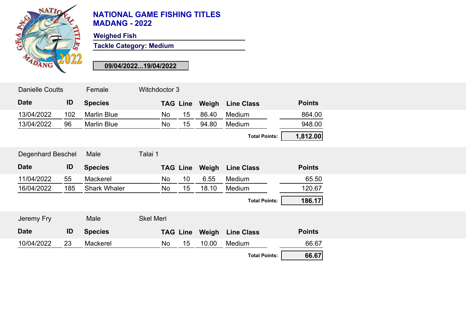

## **NATIONAL GAME FISHING TITLES MADANG - 2022**

**Weighed Fish**

**Tackle Category: Medium**

**09/04/2022...19/04/2022**

| <b>Danielle Coutts</b>   |     | Female              | Witchdoctor 3    |    |                 |       |                      |               |  |
|--------------------------|-----|---------------------|------------------|----|-----------------|-------|----------------------|---------------|--|
| <b>Date</b>              | ID  | <b>Species</b>      |                  |    | <b>TAG Line</b> | Weigh | <b>Line Class</b>    | <b>Points</b> |  |
| 13/04/2022               | 102 | <b>Marlin Blue</b>  |                  | No | 15              | 86.40 | Medium               | 864.00        |  |
| 13/04/2022               | 96  | <b>Marlin Blue</b>  |                  | No | 15 <sub>1</sub> | 94.80 | Medium               | 948.00        |  |
|                          |     |                     |                  |    |                 |       | <b>Total Points:</b> | 1,812.00      |  |
| <b>Degenhard Beschel</b> |     | Male                | Talai 1          |    |                 |       |                      |               |  |
| <b>Date</b>              | ID  | <b>Species</b>      |                  |    | <b>TAG Line</b> | Weigh | <b>Line Class</b>    | <b>Points</b> |  |
| 11/04/2022               | 55  | Mackerel            |                  | No | 10 <sup>°</sup> | 6.55  | Medium               | 65.50         |  |
| 16/04/2022               | 185 | <b>Shark Whaler</b> |                  | No | 15 <sub>1</sub> | 18.10 | Medium               | 120.67        |  |
|                          |     |                     |                  |    |                 |       | <b>Total Points:</b> | 186.17        |  |
| Jeremy Fry               |     | Male                | <b>Skel Meri</b> |    |                 |       |                      |               |  |
| <b>Date</b>              | ID  | <b>Species</b>      |                  |    | <b>TAG Line</b> | Weigh | <b>Line Class</b>    | <b>Points</b> |  |
| 10/04/2022               | 23  | Mackerel            |                  | No | 15 <sub>1</sub> | 10.00 | Medium               | 66.67         |  |
|                          |     |                     |                  |    |                 |       | <b>Total Points:</b> | 66.67         |  |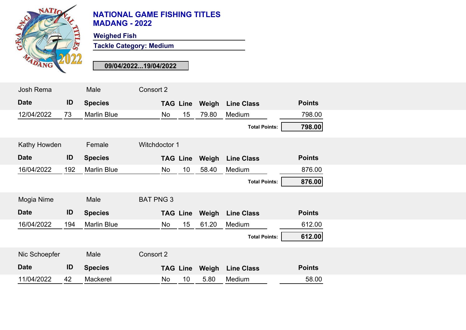

## **NATIONAL GAME FISHING TITLES MADANG - 2022**

**Weighed Fish**

**Tackle Category: Medium**

**09/04/2022...19/04/2022**

| Josh Rema     |     | Male               | Consort 2        |       |                      |               |
|---------------|-----|--------------------|------------------|-------|----------------------|---------------|
| <b>Date</b>   | ID  | <b>Species</b>     | <b>TAG Line</b>  | Weigh | <b>Line Class</b>    | <b>Points</b> |
| 12/04/2022    | 73  | <b>Marlin Blue</b> | 15<br>No         | 79.80 | Medium               | 798.00        |
|               |     |                    |                  |       | <b>Total Points:</b> | 798.00        |
| Kathy Howden  |     | Female             | Witchdoctor 1    |       |                      |               |
| <b>Date</b>   | ID  | <b>Species</b>     | <b>TAG Line</b>  | Weigh | <b>Line Class</b>    | <b>Points</b> |
| 16/04/2022    | 192 | <b>Marlin Blue</b> | No<br>10         | 58.40 | Medium               | 876.00        |
|               |     |                    |                  |       | <b>Total Points:</b> | 876.00        |
| Mogia Nime    |     | Male               | <b>BAT PNG 3</b> |       |                      |               |
| <b>Date</b>   | ID  | <b>Species</b>     | <b>TAG Line</b>  | Weigh | <b>Line Class</b>    | <b>Points</b> |
| 16/04/2022    | 194 | <b>Marlin Blue</b> | 15<br>No         | 61.20 | Medium               | 612.00        |
|               |     |                    |                  |       | <b>Total Points:</b> | 612.00        |
| Nic Schoepfer |     | Male               | Consort 2        |       |                      |               |
| <b>Date</b>   | ID  | <b>Species</b>     | <b>TAG Line</b>  | Weigh | <b>Line Class</b>    | <b>Points</b> |
| 11/04/2022    | 42  | Mackerel           | 10<br>No         | 5.80  | Medium               | 58.00         |